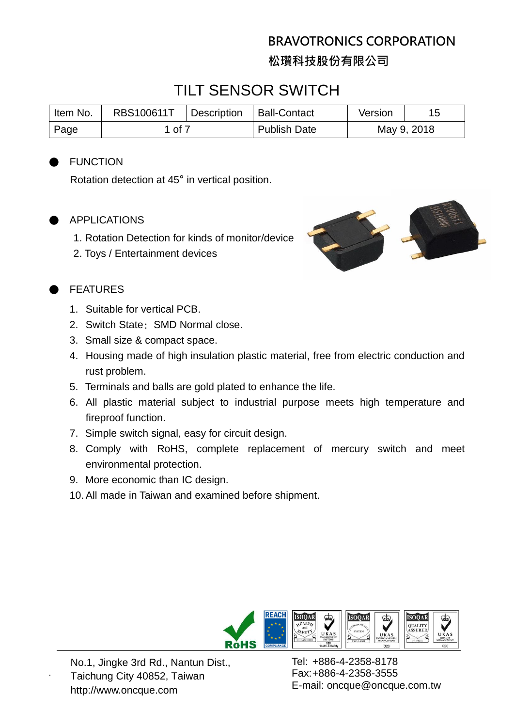## **BRAVOTRONICS CORPORATION 松瓚科技股份有限公司**

## TILT SENSOR SWITCH

| Item No. | RBS100611T | <b>Description</b> | <b>Ball-Contact</b> | Version     |  |
|----------|------------|--------------------|---------------------|-------------|--|
| Page     | l of 7     |                    | <b>Publish Date</b> | May 9, 2018 |  |

#### **FUNCTION**

Rotation detection at 45° in vertical position.

#### **APPLICATIONS**

- 1. Rotation Detection for kinds of monitor/device
- 2. Toys / Entertainment devices



### **FEATURES**

- 1. Suitable for vertical PCB.
- 2. Switch State: SMD Normal close.
- 3. Small size & compact space.
- 4. Housing made of high insulation plastic material, free from electric conduction and rust problem.
- 5. Terminals and balls are gold plated to enhance the life.
- 6. All plastic material subject to industrial purpose meets high temperature and fireproof function.
- 7. Simple switch signal, easy for circuit design.
- 8. Comply with RoHS, complete replacement of mercury switch and meet environmental protection.
- 9. More economic than IC design.
- 10.All made in Taiwan and examined before shipment.



No.1, Jingke 3rd Rd., Nantun Dist., Taichung City 40852, Taiwan http://www.oncque.com

.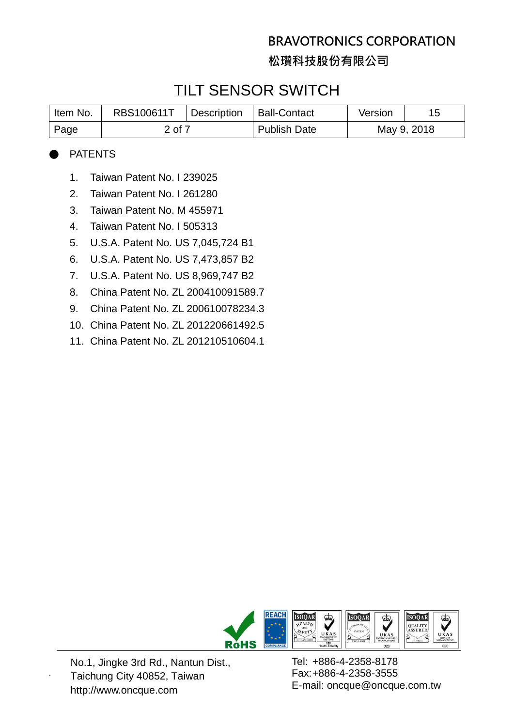**松瓚科技股份有限公司**

## TILT SENSOR SWITCH

| I Item No. | RBS100611T | <sup>1</sup> Description | Ball-Contact        | Version     |  |
|------------|------------|--------------------------|---------------------|-------------|--|
| Page       | 2 of 7     |                          | <b>Publish Date</b> | May 9, 2018 |  |

#### **PATENTS**

- 1. Taiwan Patent No. I 239025
- 2. Taiwan Patent No. I 261280
- 3. Taiwan Patent No. M 455971
- 4. Taiwan Patent No. I 505313
- 5. U.S.A. Patent No. US 7,045,724 B1
- 6. U.S.A. Patent No. US 7,473,857 B2
- 7. U.S.A. Patent No. US 8,969,747 B2
- 8. China Patent No. ZL 200410091589.7
- 9. China Patent No. ZL 200610078234.3
- 10. China Patent No. ZL 201220661492.5
- 11. China Patent No. ZL 201210510604.1



No.1, Jingke 3rd Rd., Nantun Dist., Taichung City 40852, Taiwan http://www.oncque.com

.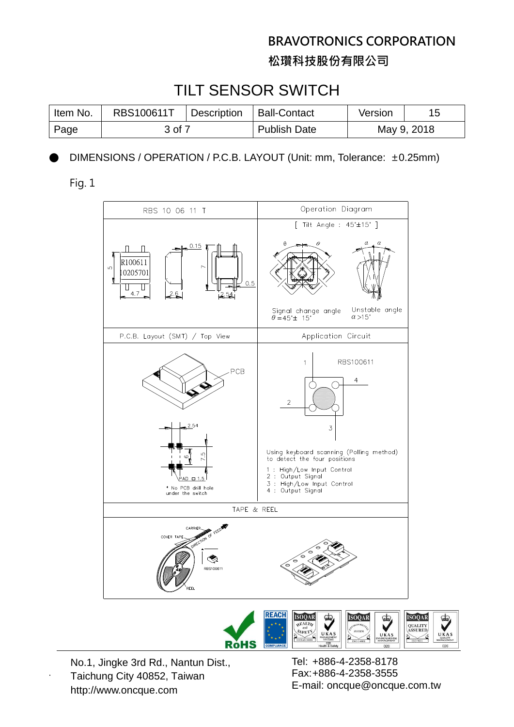**松瓚科技股份有限公司**

## TILT SENSOR SWITCH

| I Item No. | RBS100611T | <sup>1</sup> Description | <b>Ball-Contact</b> | Version     |  |
|------------|------------|--------------------------|---------------------|-------------|--|
| ⊩ Page     | 3 of 7     |                          | <b>Publish Date</b> | May 9, 2018 |  |

DIMENSIONS / OPERATION / P.C.B. LAYOUT (Unit: mm, Tolerance: ±0.25mm)

Fig. 1





No.1, Jingke 3rd Rd., Nantun Dist., Taichung City 40852, Taiwan http://www.oncque.com

.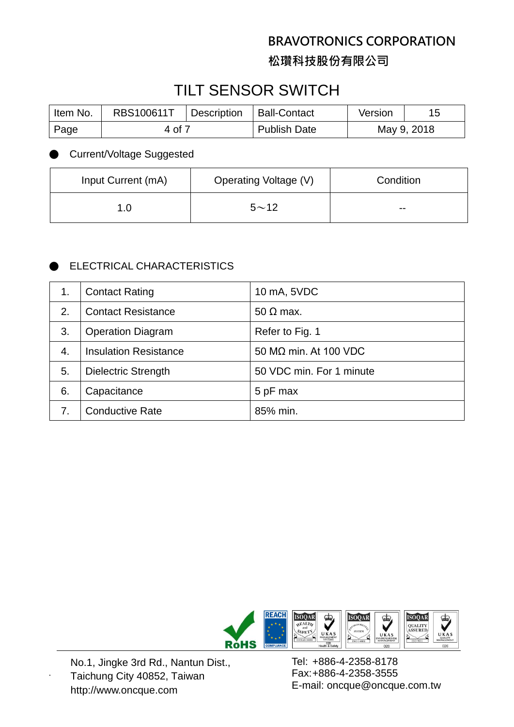**松瓚科技股份有限公司**

# TILT SENSOR SWITCH

| ltem No. | RBS100611T | <b>Description</b> | <b>Ball-Contact</b> | Version     |  |
|----------|------------|--------------------|---------------------|-------------|--|
| Page     | 4 of 7     |                    | <b>Publish Date</b> | May 9, 2018 |  |

**Current/Voltage Suggested** 

| Input Current (mA) | Operating Voltage (V) | Condition |
|--------------------|-----------------------|-----------|
| 1.0                | $5 - 12$              | $- -$     |

### **ELECTRICAL CHARACTERISTICS**

|    | <b>Contact Rating</b>        | 10 mA, 5VDC                  |
|----|------------------------------|------------------------------|
| 2. | <b>Contact Resistance</b>    | $50 \Omega$ max.             |
| 3. | <b>Operation Diagram</b>     | Refer to Fig. 1              |
| 4. | <b>Insulation Resistance</b> | 50 $M\Omega$ min. At 100 VDC |
| 5. | <b>Dielectric Strength</b>   | 50 VDC min. For 1 minute     |
| 6. | Capacitance                  | 5 pF max                     |
| 7. | <b>Conductive Rate</b>       | 85% min.                     |



No.1, Jingke 3rd Rd., Nantun Dist., Taichung City 40852, Taiwan http://www.oncque.com

.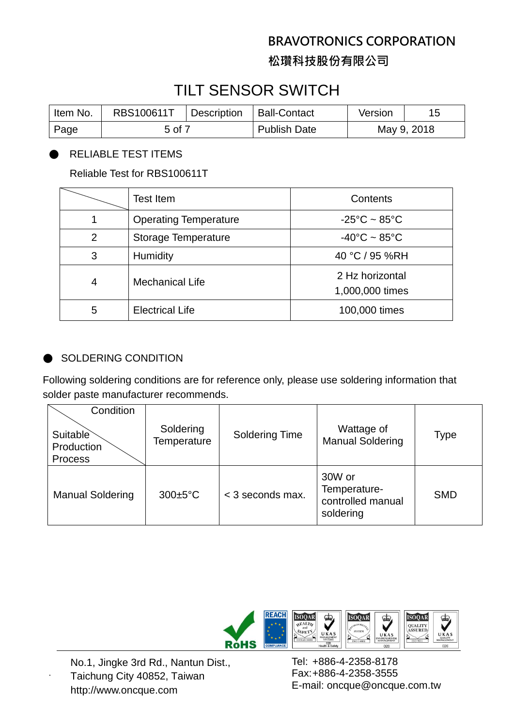**松瓚科技股份有限公司**

## TILT SENSOR SWITCH

| Item No. | RBS100611T | <b>Description</b> | <b>Ball-Contact</b> | Version     |  |
|----------|------------|--------------------|---------------------|-------------|--|
| Page     | 5 of 7     |                    | <b>Publish Date</b> | May 9, 2018 |  |

#### RELIABLE TEST ITEMS

Reliable Test for RBS100611T

|                | <b>Test Item</b>             | Contents                           |
|----------------|------------------------------|------------------------------------|
|                | <b>Operating Temperature</b> | $-25^{\circ}$ C ~ 85 $^{\circ}$ C  |
| $\overline{2}$ | <b>Storage Temperature</b>   | $-40^{\circ}$ C ~ 85 $^{\circ}$ C  |
| 3              | <b>Humidity</b>              | 40 °C / 95 %RH                     |
| 4              | <b>Mechanical Life</b>       | 2 Hz horizontal<br>1,000,000 times |
| 5              | <b>Electrical Life</b>       | 100,000 times                      |

#### **SOLDERING CONDITION**

Following soldering conditions are for reference only, please use soldering information that solder paste manufacturer recommends.

| Condition                         |                          |                       |                                                          |             |
|-----------------------------------|--------------------------|-----------------------|----------------------------------------------------------|-------------|
| Suitable<br>Production<br>Process | Soldering<br>Temperature | <b>Soldering Time</b> | Wattage of<br><b>Manual Soldering</b>                    | <b>Type</b> |
| <b>Manual Soldering</b>           | $300 \pm 5^{\circ}$ C    | < 3 seconds max.      | 30W or<br>Temperature-<br>controlled manual<br>soldering | <b>SMD</b>  |



No.1, Jingke 3rd Rd., Nantun Dist., Taichung City 40852, Taiwan http://www.oncque.com

.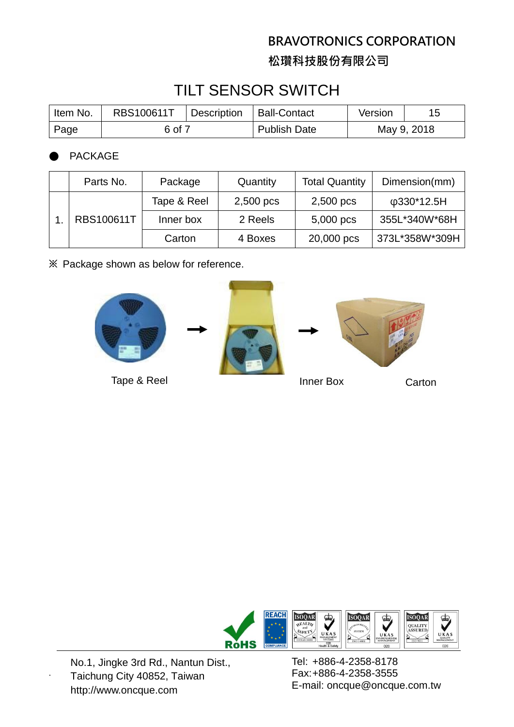**松瓚科技股份有限公司**

# TILT SENSOR SWITCH

| I Item No. | RBS100611T | Description | <b>Ball-Contact</b> | Version     |  |
|------------|------------|-------------|---------------------|-------------|--|
| Page       | 6 of 7     |             | <b>Publish Date</b> | May 9, 2018 |  |

**PACKAGE** 

|  | Parts No.  | Package     | Quantity  | <b>Total Quantity</b> | Dimension(mm)    |
|--|------------|-------------|-----------|-----------------------|------------------|
|  |            | Tape & Reel | 2,500 pcs | 2,500 pcs             | $\phi$ 330*12.5H |
|  | RBS100611T | Inner box   | 2 Reels   | 5,000 pcs             | 355L*340W*68H    |
|  |            | Carton      | 4 Boxes   | 20,000 pcs            | 373L*358W*309H   |

**※** Package shown as below for reference.











No.1, Jingke 3rd Rd., Nantun Dist., Taichung City 40852, Taiwan http://www.oncque.com

.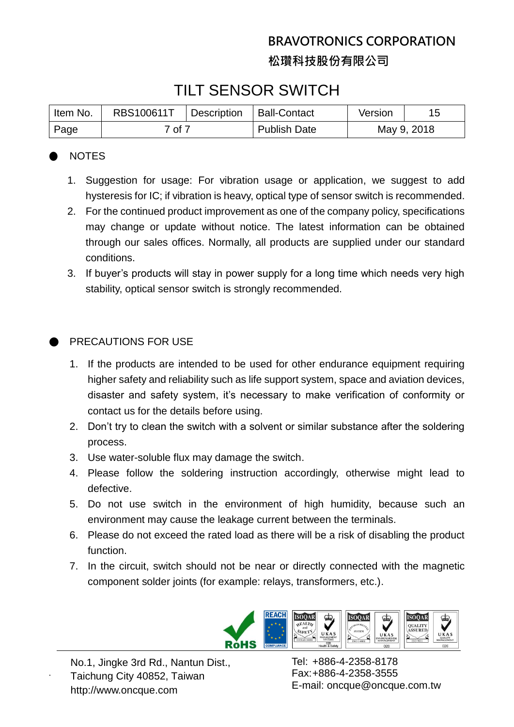## **BRAVOTRONICS CORPORATION 松瓚科技股份有限公司**

## TILT SENSOR SWITCH

| Item No. | RBS100611T | Description | Ball-Contact        | Version     |  |
|----------|------------|-------------|---------------------|-------------|--|
| Page     | 7 of 7     |             | <b>Publish Date</b> | May 9, 2018 |  |

### **NOTES**

- 1. Suggestion for usage: For vibration usage or application, we suggest to add hysteresis for IC; if vibration is heavy, optical type of sensor switch is recommended.
- 2. For the continued product improvement as one of the company policy, specifications may change or update without notice. The latest information can be obtained through our sales offices. Normally, all products are supplied under our standard conditions.
- 3. If buyer's products will stay in power supply for a long time which needs very high stability, optical sensor switch is strongly recommended.

### PRECAUTIONS FOR USE

- 1. If the products are intended to be used for other endurance equipment requiring higher safety and reliability such as life support system, space and aviation devices, disaster and safety system, it's necessary to make verification of conformity or contact us for the details before using.
- 2. Don't try to clean the switch with a solvent or similar substance after the soldering process.
- 3. Use water-soluble flux may damage the switch.
- 4. Please follow the soldering instruction accordingly, otherwise might lead to defective.
- 5. Do not use switch in the environment of high humidity, because such an environment may cause the leakage current between the terminals.
- 6. Please do not exceed the rated load as there will be a risk of disabling the product function.
- 7. In the circuit, switch should not be near or directly connected with the magnetic component solder joints (for example: relays, transformers, etc.).



No.1, Jingke 3rd Rd., Nantun Dist., Taichung City 40852, Taiwan http://www.oncque.com

.